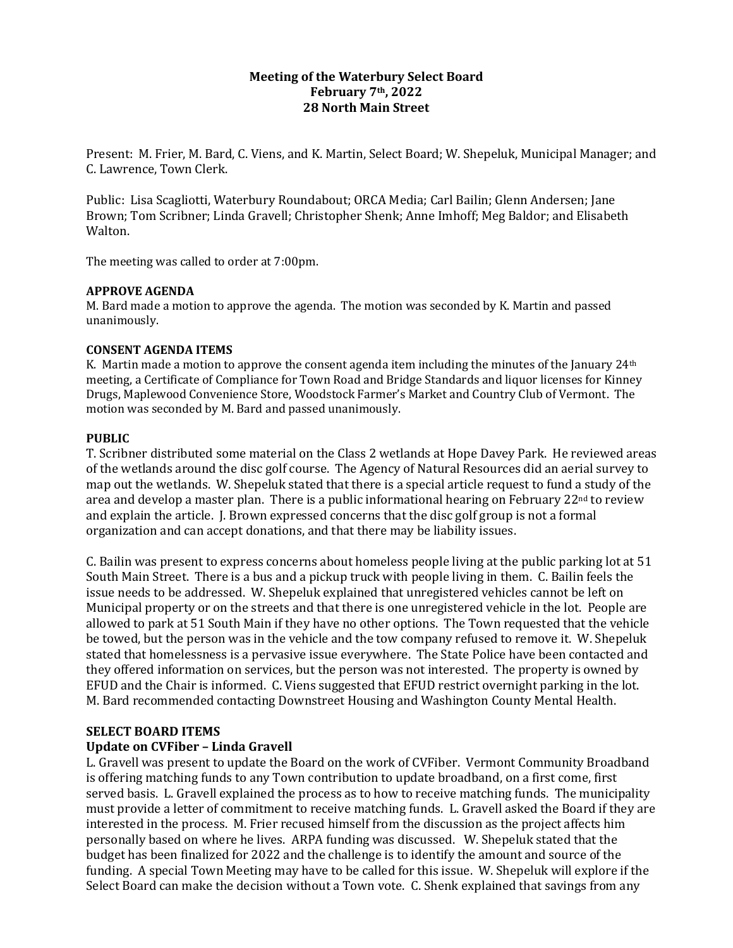## **Meeting of the Waterbury Select Board February 7th, 2022 28 North Main Street**

Present: M. Frier, M. Bard, C. Viens, and K. Martin, Select Board; W. Shepeluk, Municipal Manager; and C. Lawrence, Town Clerk.

Public: Lisa Scagliotti, Waterbury Roundabout; ORCA Media; Carl Bailin; Glenn Andersen; Jane Brown; Tom Scribner; Linda Gravell; Christopher Shenk; Anne Imhoff; Meg Baldor; and Elisabeth Walton.

The meeting was called to order at 7:00pm.

#### **APPROVE AGENDA**

M. Bard made a motion to approve the agenda. The motion was seconded by K. Martin and passed unanimously.

#### **CONSENT AGENDA ITEMS**

K. Martin made a motion to approve the consent agenda item including the minutes of the January  $24<sup>th</sup>$ meeting, a Certificate of Compliance for Town Road and Bridge Standards and liquor licenses for Kinney Drugs, Maplewood Convenience Store, Woodstock Farmer's Market and Country Club of Vermont. The motion was seconded by M. Bard and passed unanimously.

#### **PUBLIC**

T. Scribner distributed some material on the Class 2 wetlands at Hope Davey Park. He reviewed areas of the wetlands around the disc golf course. The Agency of Natural Resources did an aerial survey to map out the wetlands. W. Shepeluk stated that there is a special article request to fund a study of the area and develop a master plan. There is a public informational hearing on February  $22<sup>nd</sup>$  to review and explain the article. J. Brown expressed concerns that the disc golf group is not a formal organization and can accept donations, and that there may be liability issues.

C. Bailin was present to express concerns about homeless people living at the public parking lot at 51 South Main Street. There is a bus and a pickup truck with people living in them. C. Bailin feels the issue needs to be addressed. W. Shepeluk explained that unregistered vehicles cannot be left on Municipal property or on the streets and that there is one unregistered vehicle in the lot. People are allowed to park at 51 South Main if they have no other options. The Town requested that the vehicle be towed, but the person was in the vehicle and the tow company refused to remove it. W. Shepeluk stated that homelessness is a pervasive issue everywhere. The State Police have been contacted and they offered information on services, but the person was not interested. The property is owned by EFUD and the Chair is informed. C. Viens suggested that EFUD restrict overnight parking in the lot. M. Bard recommended contacting Downstreet Housing and Washington County Mental Health.

#### **SELECT BOARD ITEMS**

#### **Update on CVFiber – Linda Gravell**

L. Gravell was present to update the Board on the work of CVFiber. Vermont Community Broadband is offering matching funds to any Town contribution to update broadband, on a first come, first served basis. L. Gravell explained the process as to how to receive matching funds. The municipality must provide a letter of commitment to receive matching funds. L. Gravell asked the Board if they are interested in the process. M. Frier recused himself from the discussion as the project affects him personally based on where he lives. ARPA funding was discussed. W. Shepeluk stated that the budget has been finalized for 2022 and the challenge is to identify the amount and source of the funding. A special Town Meeting may have to be called for this issue. W. Shepeluk will explore if the Select Board can make the decision without a Town vote. C. Shenk explained that savings from any